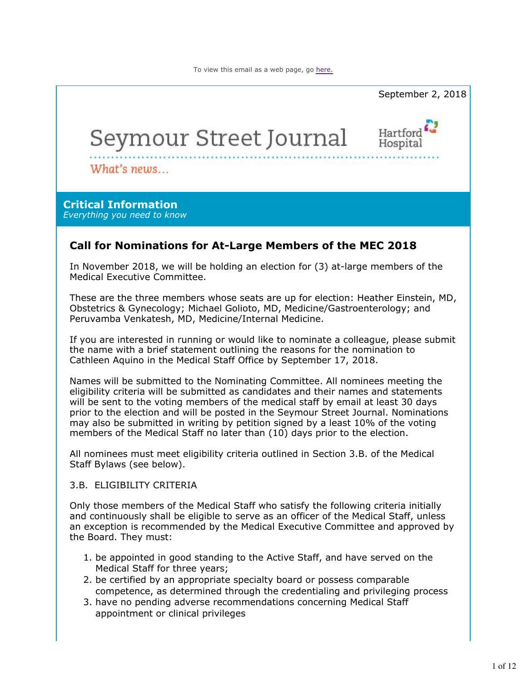

These are the three members whose seats are up for election: Heather Einstein, MD, Obstetrics & Gynecology; Michael Golioto, MD, Medicine/Gastroenterology; and Peruvamba Venkatesh, MD, Medicine/Internal Medicine.

If you are interested in running or would like to nominate a colleague, please submit the name with a brief statement outlining the reasons for the nomination to Cathleen Aquino in the Medical Staff Office by September 17, 2018.

Names will be submitted to the Nominating Committee. All nominees meeting the eligibility criteria will be submitted as candidates and their names and statements will be sent to the voting members of the medical staff by email at least 30 days prior to the election and will be posted in the Seymour Street Journal. Nominations may also be submitted in writing by petition signed by a least 10% of the voting members of the Medical Staff no later than (10) days prior to the election.

All nominees must meet eligibility criteria outlined in Section 3.B. of the Medical Staff Bylaws (see below).

#### 3.B. ELIGIBILITY CRITERIA

Only those members of the Medical Staff who satisfy the following criteria initially and continuously shall be eligible to serve as an officer of the Medical Staff, unless an exception is recommended by the Medical Executive Committee and approved by the Board. They must:

- 1. be appointed in good standing to the Active Staff, and have served on the Medical Staff for three years;
- 2. be certified by an appropriate specialty board or possess comparable competence, as determined through the credentialing and privileging process
- 3. have no pending adverse recommendations concerning Medical Staff appointment or clinical privileges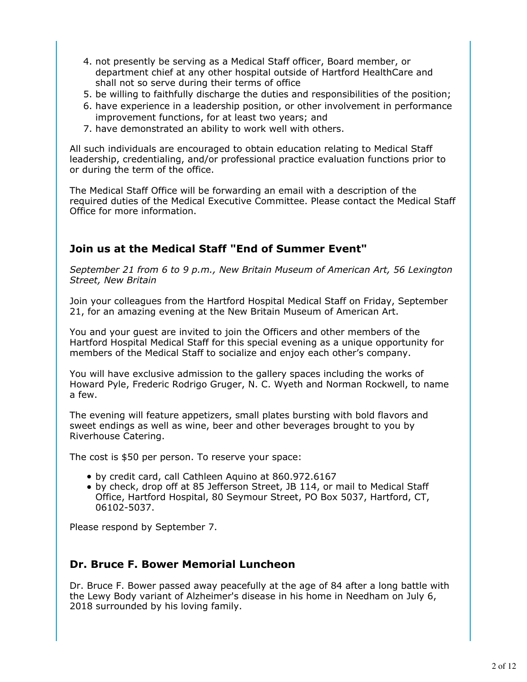- 4. not presently be serving as a Medical Staff officer, Board member, or department chief at any other hospital outside of Hartford HealthCare and shall not so serve during their terms of office
- 5. be willing to faithfully discharge the duties and responsibilities of the position;
- 6. have experience in a leadership position, or other involvement in performance improvement functions, for at least two years; and
- 7. have demonstrated an ability to work well with others.

All such individuals are encouraged to obtain education relating to Medical Staff leadership, credentialing, and/or professional practice evaluation functions prior to or during the term of the office.

The Medical Staff Office will be forwarding an email with a description of the required duties of the Medical Executive Committee. Please contact the Medical Staff Office for more information.

### **Join us at the Medical Staff "End of Summer Event"**

*September 21 from 6 to 9 p.m., New Britain Museum of American Art, 56 Lexington Street, New Britain*

Join your colleagues from the Hartford Hospital Medical Staff on Friday, September 21, for an amazing evening at the New Britain Museum of American Art.

You and your guest are invited to join the Officers and other members of the Hartford Hospital Medical Staff for this special evening as a unique opportunity for members of the Medical Staff to socialize and enjoy each other's company.

You will have exclusive admission to the gallery spaces including the works of Howard Pyle, Frederic Rodrigo Gruger, N. C. Wyeth and Norman Rockwell, to name a few.

The evening will feature appetizers, small plates bursting with bold flavors and sweet endings as well as wine, beer and other beverages brought to you by Riverhouse Catering.

The cost is \$50 per person. To reserve your space:

- by credit card, call Cathleen Aquino at 860.972.6167
- by check, drop off at 85 Jefferson Street, JB 114, or mail to Medical Staff Office, Hartford Hospital, 80 Seymour Street, PO Box 5037, Hartford, CT, 06102-5037.

Please respond by September 7.

### **Dr. Bruce F. Bower Memorial Luncheon**

Dr. Bruce F. Bower passed away peacefully at the age of 84 after a long battle with the Lewy Body variant of Alzheimer's disease in his home in Needham on July 6, 2018 surrounded by his loving family.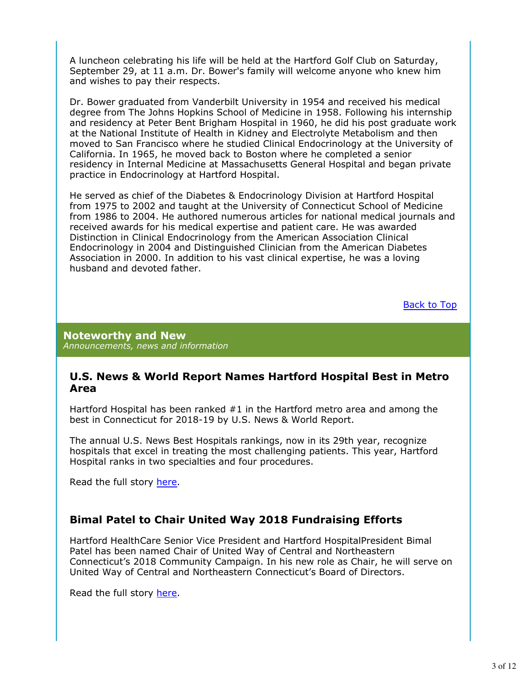A luncheon celebrating his life will be held at the Hartford Golf Club on Saturday, September 29, at 11 a.m. Dr. Bower's family will welcome anyone who knew him and wishes to pay their respects.

Dr. Bower graduated from Vanderbilt University in 1954 and received his medical degree from The Johns Hopkins School of Medicine in 1958. Following his internship and residency at Peter Bent Brigham Hospital in 1960, he did his post graduate work at the National Institute of Health in Kidney and Electrolyte Metabolism and then moved to San Francisco where he studied Clinical Endocrinology at the University of California. In 1965, he moved back to Boston where he completed a senior residency in Internal Medicine at Massachusetts General Hospital and began private practice in Endocrinology at Hartford Hospital.

He served as chief of the Diabetes & Endocrinology Division at Hartford Hospital from 1975 to 2002 and taught at the University of Connecticut School of Medicine from 1986 to 2004. He authored numerous articles for national medical journals and received awards for his medical expertise and patient care. He was awarded Distinction in Clinical Endocrinology from the American Association Clinical Endocrinology in 2004 and Distinguished Clinician from the American Diabetes Association in 2000. In addition to his vast clinical expertise, he was a loving husband and devoted father.

Back to Top

**Noteworthy and New** *Announcements, news and information*

#### **U.S. News & World Report Names Hartford Hospital Best in Metro Area**

Hartford Hospital has been ranked #1 in the Hartford metro area and among the best in Connecticut for 2018-19 by U.S. News & World Report.

The annual U.S. News Best Hospitals rankings, now in its 29th year, recognize hospitals that excel in treating the most challenging patients. This year, Hartford Hospital ranks in two specialties and four procedures.

Read the full story here.

### **Bimal Patel to Chair United Way 2018 Fundraising Efforts**

Hartford HealthCare Senior Vice President and Hartford HospitalPresident Bimal Patel has been named Chair of United Way of Central and Northeastern Connecticut's 2018 Community Campaign. In his new role as Chair, he will serve on United Way of Central and Northeastern Connecticut's Board of Directors.

Read the full story here.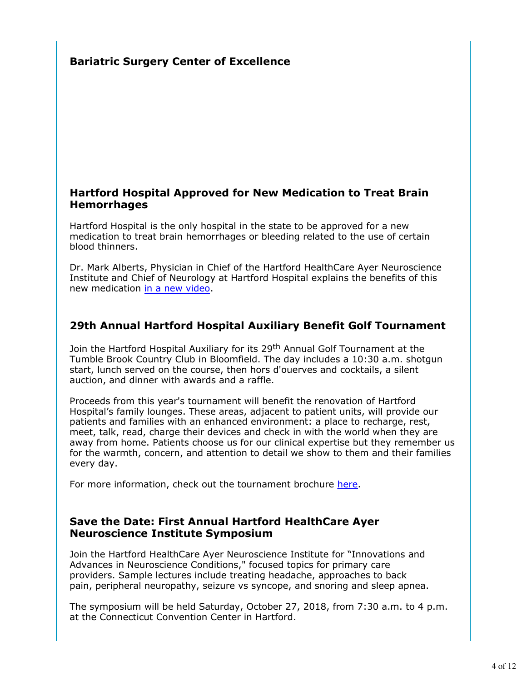# **Bariatric Surgery Center of Excellence**

#### **Hartford Hospital Approved for New Medication to Treat Brain Hemorrhages**

Hartford Hospital is the only hospital in the state to be approved for a new medication to treat brain hemorrhages or bleeding related to the use of certain blood thinners.

Dr. Mark Alberts, Physician in Chief of the Hartford HealthCare Ayer Neuroscience Institute and Chief of Neurology at Hartford Hospital explains the benefits of this new medication in a new video.

### **29th Annual Hartford Hospital Auxiliary Benefit Golf Tournament**

Join the Hartford Hospital Auxiliary for its 29<sup>th</sup> Annual Golf Tournament at the Tumble Brook Country Club in Bloomfield. The day includes a 10:30 a.m. shotgun start, lunch served on the course, then hors d'ouerves and cocktails, a silent auction, and dinner with awards and a raffle.

Proceeds from this year's tournament will benefit the renovation of Hartford Hospital's family lounges. These areas, adjacent to patient units, will provide our patients and families with an enhanced environment: a place to recharge, rest, meet, talk, read, charge their devices and check in with the world when they are away from home. Patients choose us for our clinical expertise but they remember us for the warmth, concern, and attention to detail we show to them and their families every day.

For more information, check out the tournament brochure here.

### **Save the Date: First Annual Hartford HealthCare Ayer Neuroscience Institute Symposium**

Join the Hartford HealthCare Ayer Neuroscience Institute for "Innovations and Advances in Neuroscience Conditions," focused topics for primary care providers. Sample lectures include treating headache, approaches to back pain, peripheral neuropathy, seizure vs syncope, and snoring and sleep apnea.

The symposium will be held Saturday, October 27, 2018, from 7:30 a.m. to 4 p.m. at the Connecticut Convention Center in Hartford.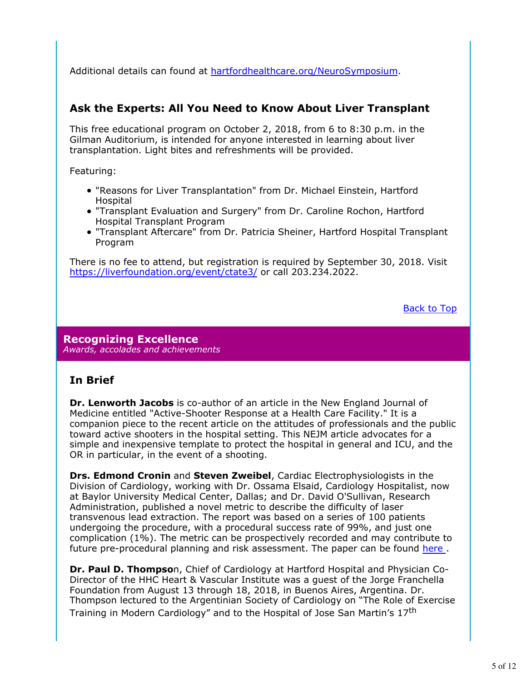Additional details can found at hartfordhealthcare.org/NeuroSymposium.

### **Ask the Experts: All You Need to Know About Liver Transplant**

This free educational program on October 2, 2018, from 6 to 8:30 p.m. in the Gilman Auditorium, is intended for anyone interested in learning about liver transplantation. Light bites and refreshments will be provided.

Featuring:

- "Reasons for Liver Transplantation" from Dr. Michael Einstein, Hartford Hospital
- "Transplant Evaluation and Surgery" from Dr. Caroline Rochon, Hartford Hospital Transplant Program
- "Transplant Aftercare" from Dr. Patricia Sheiner, Hartford Hospital Transplant Program

There is no fee to attend, but registration is required by September 30, 2018. Visit https://liverfoundation.org/event/ctate3/ or call 203.234.2022.

Back to Top

**Recognizing Excellence** *Awards, accolades and achievements*

### **In Brief**

**Dr. Lenworth Jacobs** is co-author of an article in the New England Journal of Medicine entitled "Active-Shooter Response at a Health Care Facility." It is a companion piece to the recent article on the attitudes of professionals and the public toward active shooters in the hospital setting. This NEJM article advocates for a simple and inexpensive template to protect the hospital in general and ICU, and the OR in particular, in the event of a shooting.

**Drs. Edmond Cronin** and **Steven Zweibel**, Cardiac Electrophysiologists in the Division of Cardiology, working with Dr. Ossama Elsaid, Cardiology Hospitalist, now at Baylor University Medical Center, Dallas; and Dr. David O'Sullivan, Research Administration, published a novel metric to describe the difficulty of laser transvenous lead extraction. The report was based on a series of 100 patients undergoing the procedure, with a procedural success rate of 99%, and just one complication (1%). The metric can be prospectively recorded and may contribute to future pre-procedural planning and risk assessment. The paper can be found here .

**Dr. Paul D. Thompso**n, Chief of Cardiology at Hartford Hospital and Physician Co-Director of the HHC Heart & Vascular Institute was a guest of the Jorge Franchella Foundation from August 13 through 18, 2018, in Buenos Aires, Argentina. Dr. Thompson lectured to the Argentinian Society of Cardiology on "The Role of Exercise Training in Modern Cardiology" and to the Hospital of Jose San Martin's 17<sup>th</sup>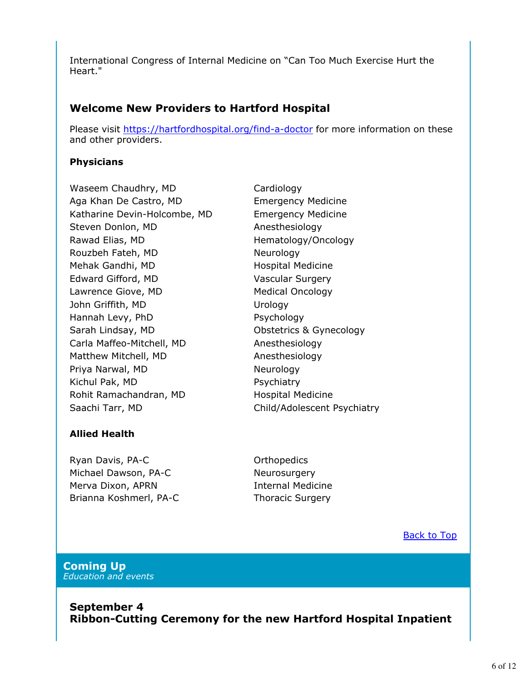International Congress of Internal Medicine on "Can Too Much Exercise Hurt the Heart."

# **Welcome New Providers to Hartford Hospital**

Please visit https://hartfordhospital.org/find-a-doctor for more information on these and other providers.

#### **Physicians**

Waseem Chaudhry, MD Cardiology Aga Khan De Castro, MD Emergency Medicine Katharine Devin-Holcombe, MD Emergency Medicine Steven Donlon, MD Anesthesiology Rawad Elias, MD **Hematology/Oncology** Rouzbeh Fateh, MD Neurology Mehak Gandhi, MD Hospital Medicine Edward Gifford, MD Vascular Surgery Lawrence Giove, MD Medical Oncology John Griffith, MD Urology Hannah Levy, PhD Psychology Sarah Lindsay, MD **Carroll** Obstetrics & Gynecology Carla Maffeo-Mitchell, MD Anesthesiology Matthew Mitchell, MD Anesthesiology Priya Narwal, MD Neurology Kichul Pak, MD Psychiatry Rohit Ramachandran, MD Hospital Medicine Saachi Tarr, MD Child/Adolescent Psychiatry

#### **Allied Health**

Ryan Davis, PA-C **Canadian Control** Crthopedics Michael Dawson, PA-C Neurosurgery Merva Dixon, APRN Internal Medicine Brianna Koshmerl, PA-C Thoracic Surgery

**Back to Top** 

#### **Coming Up** *Education and events*

**September 4 Ribbon-Cutting Ceremony for the new Hartford Hospital Inpatient**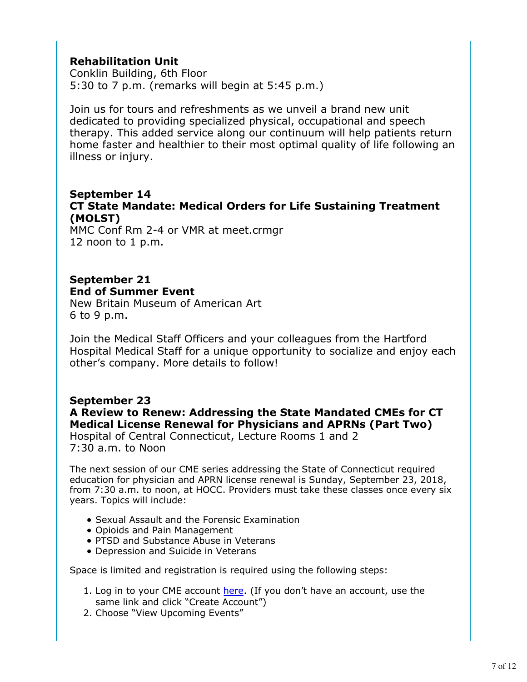# **Rehabilitation Unit**

Conklin Building, 6th Floor 5:30 to 7 p.m. (remarks will begin at 5:45 p.m.)

Join us for tours and refreshments as we unveil a brand new unit dedicated to providing specialized physical, occupational and speech therapy. This added service along our continuum will help patients return home faster and healthier to their most optimal quality of life following an illness or injury.

### **September 14 CT State Mandate: Medical Orders for Life Sustaining Treatment (MOLST)**

MMC Conf Rm 2-4 or VMR at meet.crmgr 12 noon to 1 p.m.

### **September 21 End of Summer Event**

New Britain Museum of American Art 6 to 9 p.m.

Join the Medical Staff Officers and your colleagues from the Hartford Hospital Medical Staff for a unique opportunity to socialize and enjoy each other's company. More details to follow!

# **September 23**

**A Review to Renew: Addressing the State Mandated CMEs for CT Medical License Renewal for Physicians and APRNs (Part Two)** Hospital of Central Connecticut, Lecture Rooms 1 and 2

7:30 a.m. to Noon

The next session of our CME series addressing the State of Connecticut required education for physician and APRN license renewal is Sunday, September 23, 2018, from 7:30 a.m. to noon, at HOCC. Providers must take these classes once every six years. Topics will include:

- Sexual Assault and the Forensic Examination
- Opioids and Pain Management
- PTSD and Substance Abuse in Veterans
- Depression and Suicide in Veterans

Space is limited and registration is required using the following steps:

- 1. Log in to your CME account here. (If you don't have an account, use the same link and click "Create Account")
- 2. Choose "View Upcoming Events"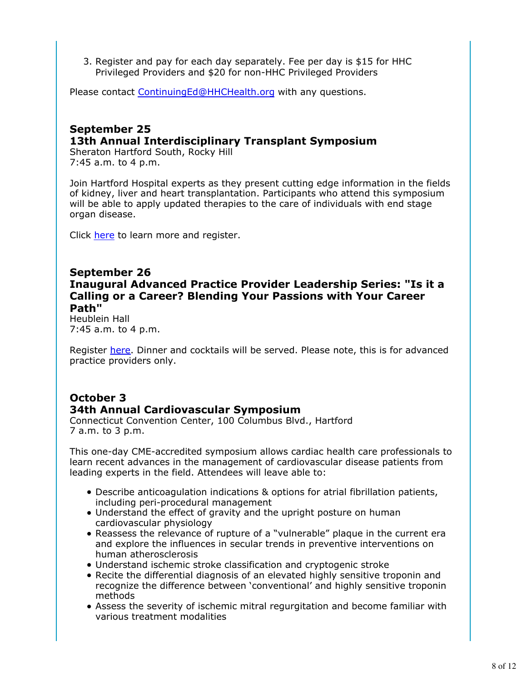3. Register and pay for each day separately. Fee per day is \$15 for HHC Privileged Providers and \$20 for non-HHC Privileged Providers

Please contact ContinuingEd@HHCHealth.org with any questions.

### **September 25 13th Annual Interdisciplinary Transplant Symposium**

Sheraton Hartford South, Rocky Hill 7:45 a.m. to 4 p.m.

Join Hartford Hospital experts as they present cutting edge information in the fields of kidney, liver and heart transplantation. Participants who attend this symposium will be able to apply updated therapies to the care of individuals with end stage organ disease.

Click here to learn more and register.

#### **September 26 Inaugural Advanced Practice Provider Leadership Series: "Is it a Calling or a Career? Blending Your Passions with Your Career Path"**

Heublein Hall 7:45 a.m. to 4 p.m.

Register here. Dinner and cocktails will be served. Please note, this is for advanced practice providers only.

# **October 3 34th Annual Cardiovascular Symposium**

Connecticut Convention Center, 100 Columbus Blvd., Hartford 7 a.m. to 3 p.m.

This one-day CME-accredited symposium allows cardiac health care professionals to learn recent advances in the management of cardiovascular disease patients from leading experts in the field. Attendees will leave able to:

- Describe anticoagulation indications & options for atrial fibrillation patients, including peri-procedural management
- Understand the effect of gravity and the upright posture on human cardiovascular physiology
- Reassess the relevance of rupture of a "vulnerable" plaque in the current era and explore the influences in secular trends in preventive interventions on human atherosclerosis
- Understand ischemic stroke classification and cryptogenic stroke
- Recite the differential diagnosis of an elevated highly sensitive troponin and recognize the difference between 'conventional' and highly sensitive troponin methods
- Assess the severity of ischemic mitral regurgitation and become familiar with various treatment modalities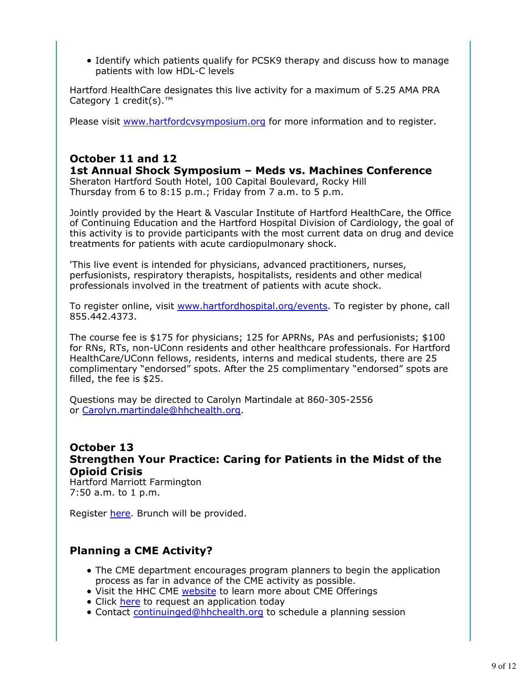• Identify which patients qualify for PCSK9 therapy and discuss how to manage patients with low HDL-C levels

Hartford HealthCare designates this live activity for a maximum of 5.25 AMA PRA Category 1 credit(s).™

Please visit www.hartfordcvsymposium.org for more information and to register.

## **October 11 and 12**

**1st Annual Shock Symposium – Meds vs. Machines Conference** Sheraton Hartford South Hotel, 100 Capital Boulevard, Rocky Hill Thursday from 6 to 8:15 p.m.; Friday from 7 a.m. to 5 p.m.

Jointly provided by the Heart & Vascular Institute of Hartford HealthCare, the Office of Continuing Education and the Hartford Hospital Division of Cardiology, the goal of this activity is to provide participants with the most current data on drug and device treatments for patients with acute cardiopulmonary shock.

'This live event is intended for physicians, advanced practitioners, nurses, perfusionists, respiratory therapists, hospitalists, residents and other medical professionals involved in the treatment of patients with acute shock.

To register online, visit www.hartfordhospital.org/events. To register by phone, call 855.442.4373.

The course fee is \$175 for physicians; 125 for APRNs, PAs and perfusionists; \$100 for RNs, RTs, non-UConn residents and other healthcare professionals. For Hartford HealthCare/UConn fellows, residents, interns and medical students, there are 25 complimentary "endorsed" spots. After the 25 complimentary "endorsed" spots are filled, the fee is \$25.

Questions may be directed to Carolyn Martindale at 860-305-2556 or Carolyn.martindale@hhchealth.org.

#### **October 13 Strengthen Your Practice: Caring for Patients in the Midst of the Opioid Crisis** Hartford Marriott Farmington

7:50 a.m. to 1 p.m.

Register here. Brunch will be provided.

# **Planning a CME Activity?**

- The CME department encourages program planners to begin the application process as far in advance of the CME activity as possible.
- Visit the HHC CME website to learn more about CME Offerings
- Click here to request an application today
- Contact continuinged@hhchealth.org to schedule a planning session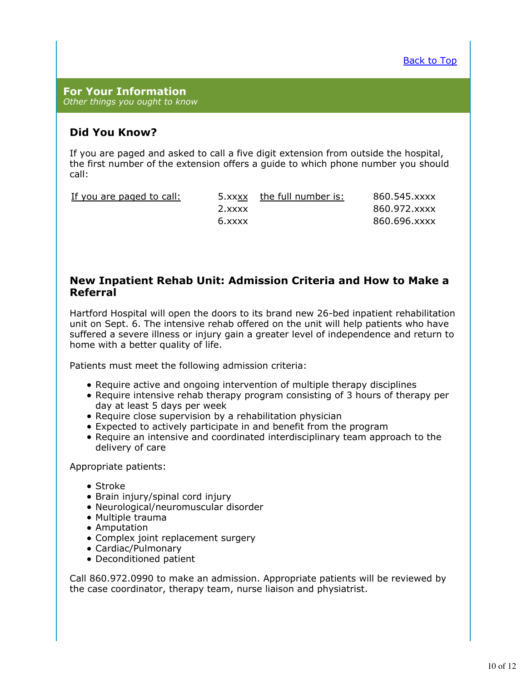**For Your Information** *Other things you ought to know*

### **Did You Know?**

If you are paged and asked to call a five digit extension from outside the hospital, the first number of the extension offers a guide to which phone number you should call:

| If you are paged to call: |           | 5.xxxx the full number is: | 860.545.xxxx |
|---------------------------|-----------|----------------------------|--------------|
|                           | $2.$ xxxx |                            | 860.972.xxxx |
|                           | 6.xxxx    |                            | 860.696.xxxx |

#### **New Inpatient Rehab Unit: Admission Criteria and How to Make a Referral**

Hartford Hospital will open the doors to its brand new 26-bed inpatient rehabilitation unit on Sept. 6. The intensive rehab offered on the unit will help patients who have suffered a severe illness or injury gain a greater level of independence and return to home with a better quality of life.

Patients must meet the following admission criteria:

- Require active and ongoing intervention of multiple therapy disciplines
- Require intensive rehab therapy program consisting of 3 hours of therapy per day at least 5 days per week
- Require close supervision by a rehabilitation physician
- Expected to actively participate in and benefit from the program
- Require an intensive and coordinated interdisciplinary team approach to the delivery of care

Appropriate patients:

- Stroke
- Brain injury/spinal cord injury
- Neurological/neuromuscular disorder
- Multiple trauma
- Amputation
- Complex joint replacement surgery
- Cardiac/Pulmonary
- Deconditioned patient

Call 860.972.0990 to make an admission. Appropriate patients will be reviewed by the case coordinator, therapy team, nurse liaison and physiatrist.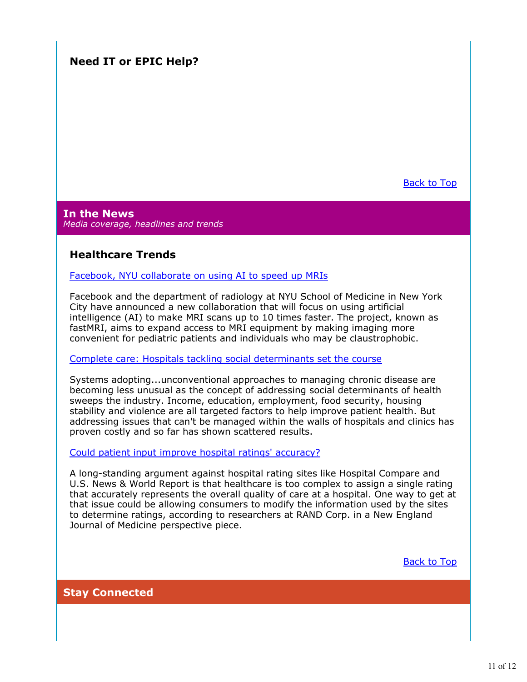# **Need IT or EPIC Help?**

Back to Top

**In the News** *Media coverage, headlines and trends*

### **Healthcare Trends**

Facebook, NYU collaborate on using AI to speed up MRIs

Facebook and the department of radiology at NYU School of Medicine in New York City have announced a new collaboration that will focus on using artificial intelligence (AI) to make MRI scans up to 10 times faster. The project, known as fastMRI, aims to expand access to MRI equipment by making imaging more convenient for pediatric patients and individuals who may be claustrophobic.

Complete care: Hospitals tackling social determinants set the course

Systems adopting...unconventional approaches to managing chronic disease are becoming less unusual as the concept of addressing social determinants of health sweeps the industry. Income, education, employment, food security, housing stability and violence are all targeted factors to help improve patient health. But addressing issues that can't be managed within the walls of hospitals and clinics has proven costly and so far has shown scattered results.

Could patient input improve hospital ratings' accuracy?

A long-standing argument against hospital rating sites like Hospital Compare and U.S. News & World Report is that healthcare is too complex to assign a single rating that accurately represents the overall quality of care at a hospital. One way to get at that issue could be allowing consumers to modify the information used by the sites to determine ratings, according to researchers at RAND Corp. in a New England Journal of Medicine perspective piece.

Back to Top

**Stay Connected**